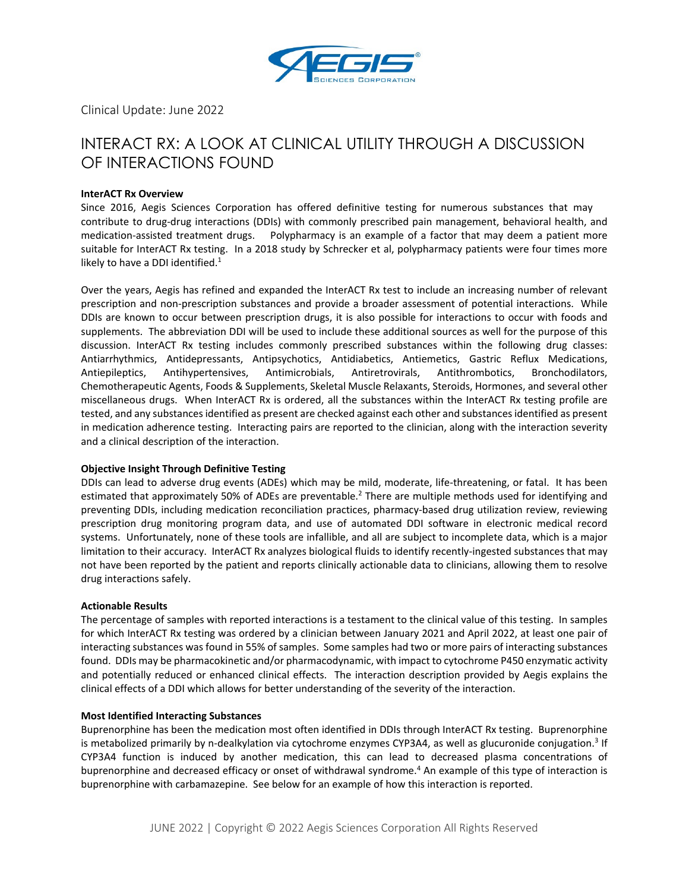

Clinical Update: June 2022

# INTERACT RX: A LOOK AT CLINICAL UTILITY THROUGH A DISCUSSION OF INTERACTIONS FOUND

# **InterACT Rx Overview**

Since 2016, Aegis Sciences Corporation has offered definitive testing for numerous substances that may contribute to drug-drug interactions (DDIs) with commonly prescribed pain management, behavioral health, and medication-assisted treatment drugs. Polypharmacy is an example of a factor that may deem a patient more suitable for InterACT Rx testing. In a 2018 study by Schrecker et al, polypharmacy patients were four times more likely to have a DDI identified. $1$ 

Over the years, Aegis has refined and expanded the InterACT Rx test to include an increasing number of relevant prescription and non-prescription substances and provide a broader assessment of potential interactions. While DDIs are known to occur between prescription drugs, it is also possible for interactions to occur with foods and supplements. The abbreviation DDI will be used to include these additional sources as well for the purpose of this discussion. InterACT Rx testing includes commonly prescribed substances within the following drug classes: Antiarrhythmics, Antidepressants, Antipsychotics, Antidiabetics, Antiemetics, Gastric Reflux Medications, Antiepileptics, Antihypertensives, Antimicrobials, Antiretrovirals, Antithrombotics, Bronchodilators, Chemotherapeutic Agents, Foods & Supplements, Skeletal Muscle Relaxants, Steroids, Hormones, and several other miscellaneous drugs. When InterACT Rx is ordered, all the substances within the InterACT Rx testing profile are tested, and any substances identified as present are checked against each other and substances identified as present in medication adherence testing. Interacting pairs are reported to the clinician, along with the interaction severity and a clinical description of the interaction.

# **Objective Insight Through Definitive Testing**

DDIs can lead to adverse drug events (ADEs) which may be mild, moderate, life-threatening, or fatal. It has been estimated that approximately 50% of ADEs are preventable.<sup>2</sup> There are multiple methods used for identifying and preventing DDIs, including medication reconciliation practices, pharmacy-based drug utilization review, reviewing prescription drug monitoring program data, and use of automated DDI software in electronic medical record systems. Unfortunately, none of these tools are infallible, and all are subject to incomplete data, which is a major limitation to their accuracy. InterACT Rx analyzes biological fluids to identify recently-ingested substances that may not have been reported by the patient and reports clinically actionable data to clinicians, allowing them to resolve drug interactions safely.

## **Actionable Results**

The percentage of samples with reported interactions is a testament to the clinical value of this testing. In samples for which InterACT Rx testing was ordered by a clinician between January 2021 and April 2022, at least one pair of interacting substances was found in 55% of samples. Some samples had two or more pairs of interacting substances found. DDIs may be pharmacokinetic and/or pharmacodynamic, with impact to cytochrome P450 enzymatic activity and potentially reduced or enhanced clinical effects. The interaction description provided by Aegis explains the clinical effects of a DDI which allows for better understanding of the severity of the interaction.

## **Most Identified Interacting Substances**

Buprenorphine has been the medication most often identified in DDIs through InterACT Rx testing. Buprenorphine is metabolized primarily by n-dealkylation via cytochrome enzymes CYP3A4, as well as glucuronide conjugation.<sup>3</sup> If CYP3A4 function is induced by another medication, this can lead to decreased plasma concentrations of buprenorphine and decreased efficacy or onset of withdrawal syndrome.<sup>4</sup> An example of this type of interaction is buprenorphine with carbamazepine. See below for an example of how this interaction is reported.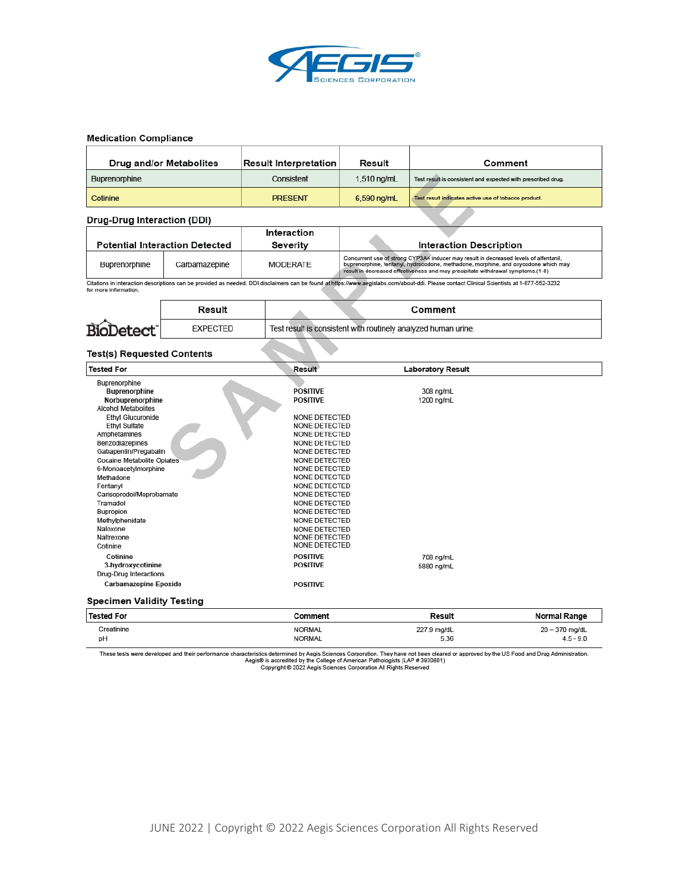

## **Medication Compliance**

| Drug and/or Metabolites | <b>Result Interpretation</b> | Result        | Comment                                                      |
|-------------------------|------------------------------|---------------|--------------------------------------------------------------|
| Buprenorphine           | Consistent                   | $1,510$ ng/mL | Test result is consistent and expected with prescribed drug. |
| Cotinine                | <b>PRESENT</b>               | 6,590 ng/mL   | Test result indicates active use of tobacco product.         |

#### Drug-Drug Interaction (DDI)

|               |                                       | Interaction |                                                                                                                                                                                                                                                                |
|---------------|---------------------------------------|-------------|----------------------------------------------------------------------------------------------------------------------------------------------------------------------------------------------------------------------------------------------------------------|
|               | <b>Potential Interaction Detected</b> | Severity    | <b>Interaction Description</b>                                                                                                                                                                                                                                 |
| Buprenorphine | Carbamazepine                         | MODERATE    | Concurrent use of strong CYP3A4 inducer may result in decreased levels of alfentanil,<br>buprenorphine, fentanyl, hydrocodone, methadone, morphine, and oxycodone which may<br>result in decreased effectiveness and may precipitate withdrawal symptoms.(1-8) |

Citations in interaction descriptions can be provided as needed. DDI disclaimers can be found at https://www.aegislabs.com/about-ddi. Please contact Clinical Scientists at 1-877-552-3232 for more information.

|                  | Result          | Comment                                                        |
|------------------|-----------------|----------------------------------------------------------------|
| <b>BioDetect</b> | <b>EXPECTED</b> | Test result is consistent with routinely analyzed human urine. |

## **Test(s) Requested Contents**

| <b>Tested For</b>                | Result               | <b>Laboratory Result</b> |
|----------------------------------|----------------------|--------------------------|
| Buprenorphine                    |                      |                          |
| Buprenorphine                    | <b>POSITIVE</b>      | 308 ng/mL                |
| Norbuprenorphine                 | <b>POSITIVE</b>      | 1200 ng/mL               |
| <b>Alcohol Metabolites</b>       |                      |                          |
| <b>Ethyl Glucuronide</b>         | <b>NONE DETECTED</b> |                          |
| <b>Ethyl Sulfate</b>             | NONE DETECTED        |                          |
| Amphetamines                     | NONE DETECTED        |                          |
| Benzodiazepines                  | NONE DETECTED        |                          |
| Gabapentin/Pregabalin            | NONE DETECTED        |                          |
| Cocaine Metabolite Opiates       | NONE DETECTED        |                          |
| 6-Monoacetylmorphine             | NONE DETECTED        |                          |
| Methadone                        | NONE DETECTED        |                          |
| Fentanyl                         | NONE DETECTED        |                          |
| Carisoprodol/Meprobamate         | NONE DETECTED        |                          |
| Tramadol                         | NONE DETECTED        |                          |
| Bupropion                        | NONE DETECTED        |                          |
| Methylphenidate                  | NONE DETECTED        |                          |
| Naloxone                         | NONE DETECTED        |                          |
| Naltrexone                       | <b>NONE DETECTED</b> |                          |
| Cotinine                         | NONE DETECTED        |                          |
| Cotinine                         | <b>POSITIVE</b>      | 708 ng/mL                |
| 3-hydroxycotinine                | <b>POSITIVE</b>      | 5880 ng/mL               |
| Drug-Drug Interactions           |                      |                          |
| <b>Carbamazepine Epoxide</b>     | <b>POSITIVE</b>      |                          |
| <b>Specimen Validity Testing</b> |                      |                          |
|                                  |                      |                          |

| <b>Tested For</b> | Comment       | Result      | <b>Normal Range</b> |
|-------------------|---------------|-------------|---------------------|
| Creatinine        | <b>NORMAL</b> | 227.9 mg/dL | 20 - 370 mg/dL      |
| DH                | <b>NORMAL</b> | 5.36        | $4.5 - 9.0$         |

These tests were developed and their performance characteristics determined by Aegis Sciences Corporation. They have not been cleared or approved by the US Food and Drug Administration.<br>Copyright © 2022 Aegis Sciences Corp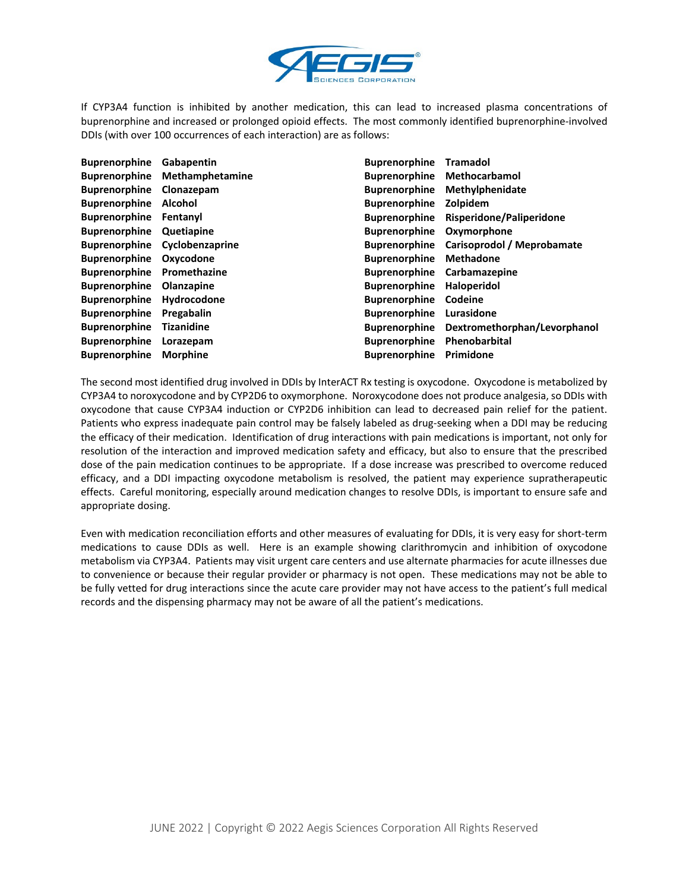

If CYP3A4 function is inhibited by another medication, this can lead to increased plasma concentrations of buprenorphine and increased or prolonged opioid effects. The most commonly identified buprenorphine-involved DDIs (with over 100 occurrences of each interaction) are as follows:

| <b>Buprenorphine</b> | Gabapentin                    | <b>Buprenorphine</b> | <b>Tramadol</b>              |
|----------------------|-------------------------------|----------------------|------------------------------|
| <b>Buprenorphine</b> | <b>Methamphetamine</b>        | <b>Buprenorphine</b> | <b>Methocarbamol</b>         |
| <b>Buprenorphine</b> | Clonazepam                    | <b>Buprenorphine</b> | Methylphenidate              |
| <b>Buprenorphine</b> | Alcohol                       | <b>Buprenorphine</b> | Zolpidem                     |
| <b>Buprenorphine</b> | Fentanyl                      | <b>Buprenorphine</b> | Risperidone/Paliperidone     |
| <b>Buprenorphine</b> | Quetiapine                    | <b>Buprenorphine</b> | Oxymorphone                  |
|                      | Buprenorphine Cyclobenzaprine | <b>Buprenorphine</b> | Carisoprodol / Meprobamate   |
| <b>Buprenorphine</b> | Oxycodone                     | <b>Buprenorphine</b> | <b>Methadone</b>             |
| <b>Buprenorphine</b> | Promethazine                  | <b>Buprenorphine</b> | Carbamazepine                |
| <b>Buprenorphine</b> | Olanzapine                    | <b>Buprenorphine</b> | Haloperidol                  |
| <b>Buprenorphine</b> | Hydrocodone                   | <b>Buprenorphine</b> | Codeine                      |
| <b>Buprenorphine</b> | Pregabalin                    | <b>Buprenorphine</b> | Lurasidone                   |
| <b>Buprenorphine</b> | <b>Tizanidine</b>             | <b>Buprenorphine</b> | Dextromethorphan/Levorphanol |
| <b>Buprenorphine</b> | Lorazepam                     | <b>Buprenorphine</b> | Phenobarbital                |
| <b>Buprenorphine</b> | <b>Morphine</b>               | <b>Buprenorphine</b> | Primidone                    |

The second most identified drug involved in DDIs by InterACT Rx testing is oxycodone. Oxycodone is metabolized by CYP3A4 to noroxycodone and by CYP2D6 to oxymorphone. Noroxycodone does not produce analgesia, so DDIs with oxycodone that cause CYP3A4 induction or CYP2D6 inhibition can lead to decreased pain relief for the patient. Patients who express inadequate pain control may be falsely labeled as drug-seeking when a DDI may be reducing the efficacy of their medication. Identification of drug interactions with pain medications is important, not only for resolution of the interaction and improved medication safety and efficacy, but also to ensure that the prescribed dose of the pain medication continues to be appropriate. If a dose increase was prescribed to overcome reduced efficacy, and a DDI impacting oxycodone metabolism is resolved, the patient may experience supratherapeutic effects. Careful monitoring, especially around medication changes to resolve DDIs, is important to ensure safe and appropriate dosing.

Even with medication reconciliation efforts and other measures of evaluating for DDIs, it is very easy for short-term medications to cause DDIs as well. Here is an example showing clarithromycin and inhibition of oxycodone metabolism via CYP3A4. Patients may visit urgent care centers and use alternate pharmacies for acute illnesses due to convenience or because their regular provider or pharmacy is not open. These medications may not be able to be fully vetted for drug interactions since the acute care provider may not have access to the patient's full medical records and the dispensing pharmacy may not be aware of all the patient's medications.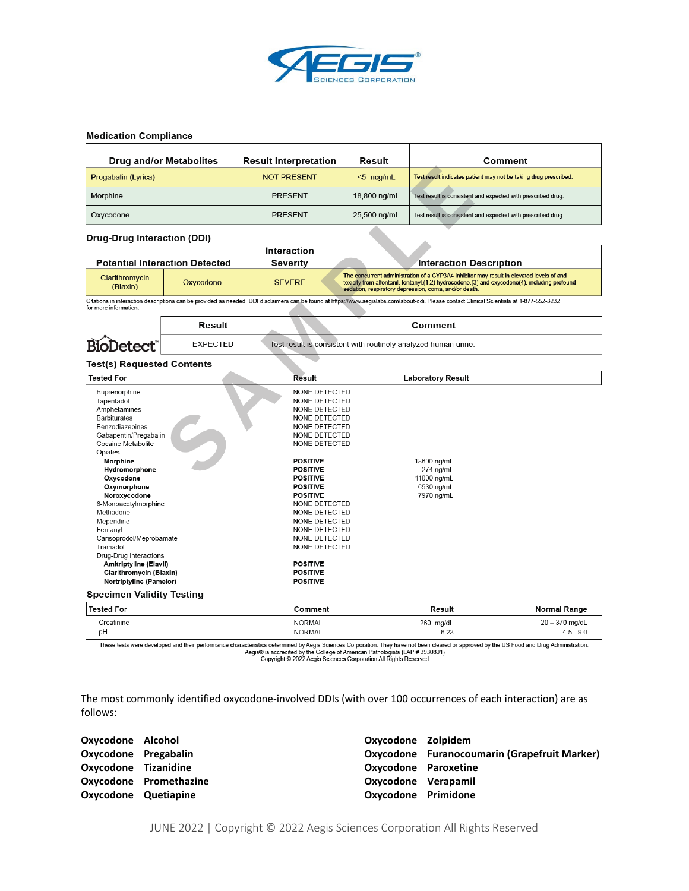

## **Medication Compliance**

| <b>Drug and/or Metabolites</b> | <b>Result Interpretation</b> | Result       | Comment                                                          |
|--------------------------------|------------------------------|--------------|------------------------------------------------------------------|
| Pregabalin (Lyrica)            | <b>NOT PRESENT</b>           | $<$ 5 mcg/mL | Test result indicates patient may not be taking drug prescribed. |
| Morphine                       | <b>PRESENT</b>               | 18,800 ng/mL | Test result is consistent and expected with prescribed drug.     |
| Oxycodone                      | <b>PRESENT</b>               | 25,500 ng/mL | Test result is consistent and expected with prescribed drug.     |

**Drug-Drug Interaction (DDI)** 

|                            |                                       | Interaction   |                                                                                                                                                                                                                                                      |
|----------------------------|---------------------------------------|---------------|------------------------------------------------------------------------------------------------------------------------------------------------------------------------------------------------------------------------------------------------------|
|                            | <b>Potential Interaction Detected</b> | Severity      | <b>Interaction Description</b>                                                                                                                                                                                                                       |
| Clarithromycin<br>(Biaxin) | Oxycodone                             | <b>SEVERE</b> | The concurrent administration of a CYP3A4 inhibitor may result in elevated levels of and<br>toxicity from alfentanil, fentanyl, (1,2) hydrocodone, (3) and oxycodone(4), including profound<br>sedation, respiratory depression, coma, and/or death. |

Citations in interaction descriptions can be provided as needed. DDI disclaimers can be found at https://www.aegislabs.com/about-ddi. Please contact Clinical Scientists at 1-877-552-3232 for more information. ◢

|      | रesult   | Comment                                                        |
|------|----------|----------------------------------------------------------------|
| Biol | EXPECTED | Test result is consistent with routinely analyzed human urine. |

### **Test(s) Requested Contents**

| Tested For                       | Result          | <b>Laboratory Result</b> |                  |
|----------------------------------|-----------------|--------------------------|------------------|
| Buprenorphine                    | NONE DETECTED   |                          |                  |
| Tapentadol                       | NONE DETECTED   |                          |                  |
| Amphetamines                     | NONE DETECTED   |                          |                  |
| <b>Barbiturates</b>              | NONE DETECTED   |                          |                  |
| Benzodiazepines                  | NONE DETECTED   |                          |                  |
| Gabapentin/Pregabalin            | NONE DETECTED   |                          |                  |
| Cocaine Metabolite               | NONE DETECTED   |                          |                  |
| Opiates                          |                 |                          |                  |
| Morphine                         | <b>POSITIVE</b> | 18600 ng/mL              |                  |
| Hydromorphone                    | <b>POSITIVE</b> | 274 ng/mL                |                  |
| Oxycodone                        | <b>POSITIVE</b> | 11000 ng/mL              |                  |
| Oxymorphone                      | <b>POSITIVE</b> | 6530 ng/mL               |                  |
| Noroxycodone                     | <b>POSITIVE</b> | 7970 ng/mL               |                  |
| 6-Monoacetylmorphine             | NONE DETECTED   |                          |                  |
| Methadone                        | NONE DETECTED   |                          |                  |
| Meperidine                       | NONE DETECTED   |                          |                  |
| Fentanyl                         | NONE DETECTED   |                          |                  |
| Carisoprodol/Meprobamate         | NONE DETECTED   |                          |                  |
| Tramadol                         | NONE DETECTED   |                          |                  |
| Drug-Drug Interactions           |                 |                          |                  |
| Amitriptyline (Elavil)           | <b>POSITIVE</b> |                          |                  |
| Clarithromycin (Biaxin)          | <b>POSITIVE</b> |                          |                  |
| Nortriptyline (Pamelor)          | <b>POSITIVE</b> |                          |                  |
| <b>Specimen Validity Testing</b> |                 |                          |                  |
| <b>Tested For</b>                | Comment         | Result                   | Normal Range     |
| Creatinine                       | <b>NORMAL</b>   | 260 mg/dL                | $20 - 370$ mg/dL |
| pH                               | <b>NORMAL</b>   | 6.23                     | $4.5 - 9.0$      |

These tests were developed and their performance characteristics determined by Aegis Sciences Corporation. They have not been cleared or approved by the US Food and Drug Administration.<br>Copyright © 2022 Aegis Sciences Corp

The most commonly identified oxycodone-involved DDIs (with over 100 occurrences of each interaction) are as follows:

| Oxycodone Alcohol    |                        | Oxycodone Zolpidem   |                                              |
|----------------------|------------------------|----------------------|----------------------------------------------|
| Oxycodone Pregabalin |                        |                      | Oxycodone Furanocoumarin (Grapefruit Marker) |
| Oxycodone Tizanidine |                        | Oxycodone Paroxetine |                                              |
|                      | Oxycodone Promethazine | Oxycodone Verapamil  |                                              |
| Oxycodone Quetiapine |                        | Oxycodone Primidone  |                                              |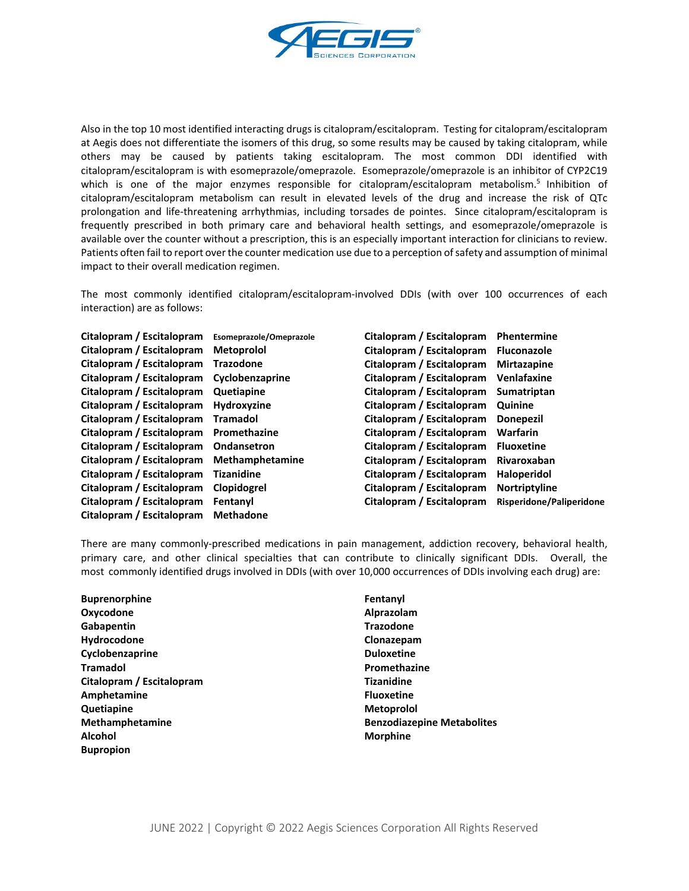

Also in the top 10 most identified interacting drugs is citalopram/escitalopram. Testing for citalopram/escitalopram at Aegis does not differentiate the isomers of this drug, so some results may be caused by taking citalopram, while others may be caused by patients taking escitalopram. The most common DDI identified with citalopram/escitalopram is with esomeprazole/omeprazole. Esomeprazole/omeprazole is an inhibitor of CYP2C19 which is one of the major enzymes responsible for citalopram/escitalopram metabolism.<sup>5</sup> Inhibition of citalopram/escitalopram metabolism can result in elevated levels of the drug and increase the risk of QTc prolongation and life-threatening arrhythmias, including torsades de pointes. Since citalopram/escitalopram is frequently prescribed in both primary care and behavioral health settings, and esomeprazole/omeprazole is available over the counter without a prescription, this is an especially important interaction for clinicians to review. Patients often fail to report over the counter medication use due to a perception of safety and assumption of minimal impact to their overall medication regimen.

The most commonly identified citalopram/escitalopram-involved DDIs (with over 100 occurrences of each interaction) are as follows:

| Citalopram / Escitalopram | Esomeprazole/Omeprazole | Citalopram / Escitalopram | Phentermine              |
|---------------------------|-------------------------|---------------------------|--------------------------|
| Citalopram / Escitalopram | <b>Metoprolol</b>       | Citalopram / Escitalopram | <b>Fluconazole</b>       |
| Citalopram / Escitalopram | <b>Trazodone</b>        | Citalopram / Escitalopram | <b>Mirtazapine</b>       |
| Citalopram / Escitalopram | Cyclobenzaprine         | Citalopram / Escitalopram | Venlafaxine              |
| Citalopram / Escitalopram | Quetiapine              | Citalopram / Escitalopram | <b>Sumatriptan</b>       |
| Citalopram / Escitalopram | Hydroxyzine             | Citalopram / Escitalopram | Quinine                  |
| Citalopram / Escitalopram | <b>Tramadol</b>         | Citalopram / Escitalopram | <b>Donepezil</b>         |
| Citalopram / Escitalopram | Promethazine            | Citalopram / Escitalopram | Warfarin                 |
| Citalopram / Escitalopram | Ondansetron             | Citalopram / Escitalopram | <b>Fluoxetine</b>        |
| Citalopram / Escitalopram | Methamphetamine         | Citalopram / Escitalopram | Rivaroxaban              |
| Citalopram / Escitalopram | <b>Tizanidine</b>       | Citalopram / Escitalopram | Haloperidol              |
| Citalopram / Escitalopram | Clopidogrel             | Citalopram / Escitalopram | Nortriptyline            |
| Citalopram / Escitalopram | Fentanyl                | Citalopram / Escitalopram | Risperidone/Paliperidone |
| Citalopram / Escitalopram | <b>Methadone</b>        |                           |                          |

There are many commonly-prescribed medications in pain management, addiction recovery, behavioral health, primary care, and other clinical specialties that can contribute to clinically significant DDIs. Overall, the most commonly identified drugs involved in DDIs (with over 10,000 occurrences of DDIs involving each drug) are:

| <b>Buprenorphine</b>      | Fentanyl                          |
|---------------------------|-----------------------------------|
| Oxycodone                 | Alprazolam                        |
| Gabapentin                | <b>Trazodone</b>                  |
| Hydrocodone               | Clonazepam                        |
| Cyclobenzaprine           | <b>Duloxetine</b>                 |
| <b>Tramadol</b>           | Promethazine                      |
| Citalopram / Escitalopram | <b>Tizanidine</b>                 |
| Amphetamine               | <b>Fluoxetine</b>                 |
| Quetiapine                | <b>Metoprolol</b>                 |
| Methamphetamine           | <b>Benzodiazepine Metabolites</b> |
| <b>Alcohol</b>            | <b>Morphine</b>                   |
| <b>Bupropion</b>          |                                   |